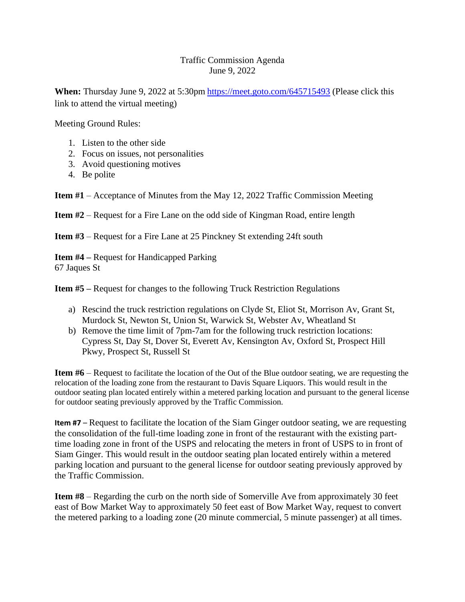## Traffic Commission Agenda June 9, 2022

**When:** Thursday June 9, 2022 at 5:30pm <https://meet.goto.com/645715493> (Please click this link to attend the virtual meeting)

Meeting Ground Rules:

- 1. Listen to the other side
- 2. Focus on issues, not personalities
- 3. Avoid questioning motives
- 4. Be polite

**Item #1** – Acceptance of Minutes from the May 12, 2022 Traffic Commission Meeting

**Item #2** – Request for a Fire Lane on the odd side of Kingman Road, entire length

**Item #3** – Request for a Fire Lane at 25 Pinckney St extending 24ft south

**Item #4 –** Request for Handicapped Parking 67 Jaques St

**Item #5 –** Request for changes to the following Truck Restriction Regulations

- a) Rescind the truck restriction regulations on Clyde St, Eliot St, Morrison Av, Grant St, Murdock St, Newton St, Union St, Warwick St, Webster Av, Wheatland St
- b) Remove the time limit of 7pm-7am for the following truck restriction locations: Cypress St, Day St, Dover St, Everett Av, Kensington Av, Oxford St, Prospect Hill Pkwy, Prospect St, Russell St

**Item #6** – Request to facilitate the location of the Out of the Blue outdoor seating, we are requesting the relocation of the loading zone from the restaurant to Davis Square Liquors. This would result in the outdoor seating plan located entirely within a metered parking location and pursuant to the general license for outdoor seating previously approved by the Traffic Commission.

**Item #7** – Request to facilitate the location of the Siam Ginger outdoor seating, we are requesting the consolidation of the full-time loading zone in front of the restaurant with the existing parttime loading zone in front of the USPS and relocating the meters in front of USPS to in front of Siam Ginger. This would result in the outdoor seating plan located entirely within a metered parking location and pursuant to the general license for outdoor seating previously approved by the Traffic Commission.

**Item #8** – Regarding the curb on the north side of Somerville Ave from approximately 30 feet east of Bow Market Way to approximately 50 feet east of Bow Market Way, request to convert the metered parking to a loading zone (20 minute commercial, 5 minute passenger) at all times.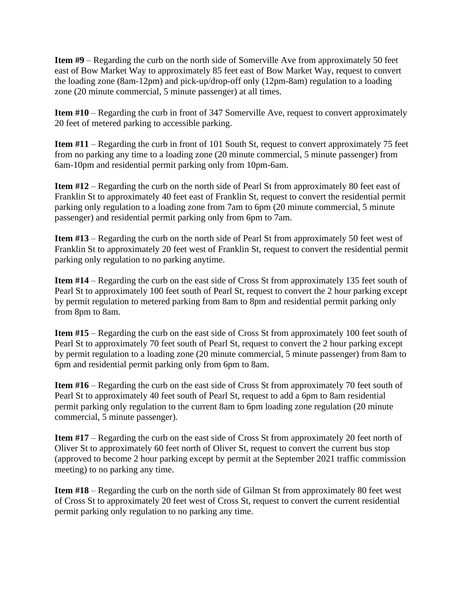**Item #9** – Regarding the curb on the north side of Somerville Ave from approximately 50 feet east of Bow Market Way to approximately 85 feet east of Bow Market Way, request to convert the loading zone (8am-12pm) and pick-up/drop-off only (12pm-8am) regulation to a loading zone (20 minute commercial, 5 minute passenger) at all times.

**Item #10** – Regarding the curb in front of 347 Somerville Ave, request to convert approximately 20 feet of metered parking to accessible parking.

**Item #11** – Regarding the curb in front of 101 South St, request to convert approximately 75 feet from no parking any time to a loading zone (20 minute commercial, 5 minute passenger) from 6am-10pm and residential permit parking only from 10pm-6am.

**Item #12** – Regarding the curb on the north side of Pearl St from approximately 80 feet east of Franklin St to approximately 40 feet east of Franklin St, request to convert the residential permit parking only regulation to a loading zone from 7am to 6pm (20 minute commercial, 5 minute passenger) and residential permit parking only from 6pm to 7am.

**Item #13** – Regarding the curb on the north side of Pearl St from approximately 50 feet west of Franklin St to approximately 20 feet west of Franklin St, request to convert the residential permit parking only regulation to no parking anytime.

**Item #14** – Regarding the curb on the east side of Cross St from approximately 135 feet south of Pearl St to approximately 100 feet south of Pearl St, request to convert the 2 hour parking except by permit regulation to metered parking from 8am to 8pm and residential permit parking only from 8pm to 8am.

**Item #15** – Regarding the curb on the east side of Cross St from approximately 100 feet south of Pearl St to approximately 70 feet south of Pearl St, request to convert the 2 hour parking except by permit regulation to a loading zone (20 minute commercial, 5 minute passenger) from 8am to 6pm and residential permit parking only from 6pm to 8am.

**Item #16** – Regarding the curb on the east side of Cross St from approximately 70 feet south of Pearl St to approximately 40 feet south of Pearl St, request to add a 6pm to 8am residential permit parking only regulation to the current 8am to 6pm loading zone regulation (20 minute commercial, 5 minute passenger).

**Item #17** – Regarding the curb on the east side of Cross St from approximately 20 feet north of Oliver St to approximately 60 feet north of Oliver St, request to convert the current bus stop (approved to become 2 hour parking except by permit at the September 2021 traffic commission meeting) to no parking any time.

**Item #18** – Regarding the curb on the north side of Gilman St from approximately 80 feet west of Cross St to approximately 20 feet west of Cross St, request to convert the current residential permit parking only regulation to no parking any time.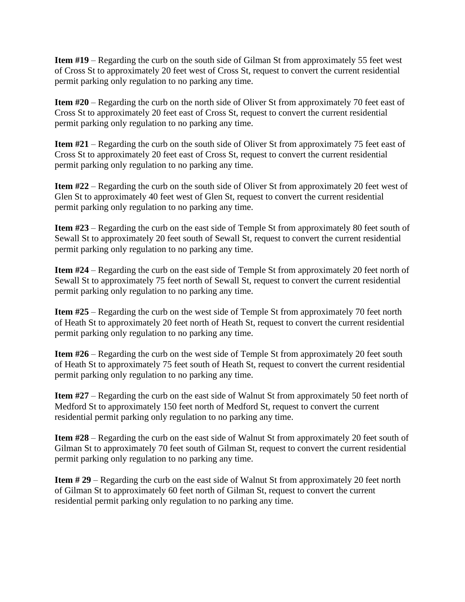**Item #19** – Regarding the curb on the south side of Gilman St from approximately 55 feet west of Cross St to approximately 20 feet west of Cross St, request to convert the current residential permit parking only regulation to no parking any time.

**Item #20** – Regarding the curb on the north side of Oliver St from approximately 70 feet east of Cross St to approximately 20 feet east of Cross St, request to convert the current residential permit parking only regulation to no parking any time.

**Item #21** – Regarding the curb on the south side of Oliver St from approximately 75 feet east of Cross St to approximately 20 feet east of Cross St, request to convert the current residential permit parking only regulation to no parking any time.

**Item #22** – Regarding the curb on the south side of Oliver St from approximately 20 feet west of Glen St to approximately 40 feet west of Glen St, request to convert the current residential permit parking only regulation to no parking any time.

**Item #23** – Regarding the curb on the east side of Temple St from approximately 80 feet south of Sewall St to approximately 20 feet south of Sewall St, request to convert the current residential permit parking only regulation to no parking any time.

**Item #24** – Regarding the curb on the east side of Temple St from approximately 20 feet north of Sewall St to approximately 75 feet north of Sewall St, request to convert the current residential permit parking only regulation to no parking any time.

**Item #25** – Regarding the curb on the west side of Temple St from approximately 70 feet north of Heath St to approximately 20 feet north of Heath St, request to convert the current residential permit parking only regulation to no parking any time.

**Item #26** – Regarding the curb on the west side of Temple St from approximately 20 feet south of Heath St to approximately 75 feet south of Heath St, request to convert the current residential permit parking only regulation to no parking any time.

**Item #27** – Regarding the curb on the east side of Walnut St from approximately 50 feet north of Medford St to approximately 150 feet north of Medford St, request to convert the current residential permit parking only regulation to no parking any time.

**Item #28** – Regarding the curb on the east side of Walnut St from approximately 20 feet south of Gilman St to approximately 70 feet south of Gilman St, request to convert the current residential permit parking only regulation to no parking any time.

**Item # 29** – Regarding the curb on the east side of Walnut St from approximately 20 feet north of Gilman St to approximately 60 feet north of Gilman St, request to convert the current residential permit parking only regulation to no parking any time.